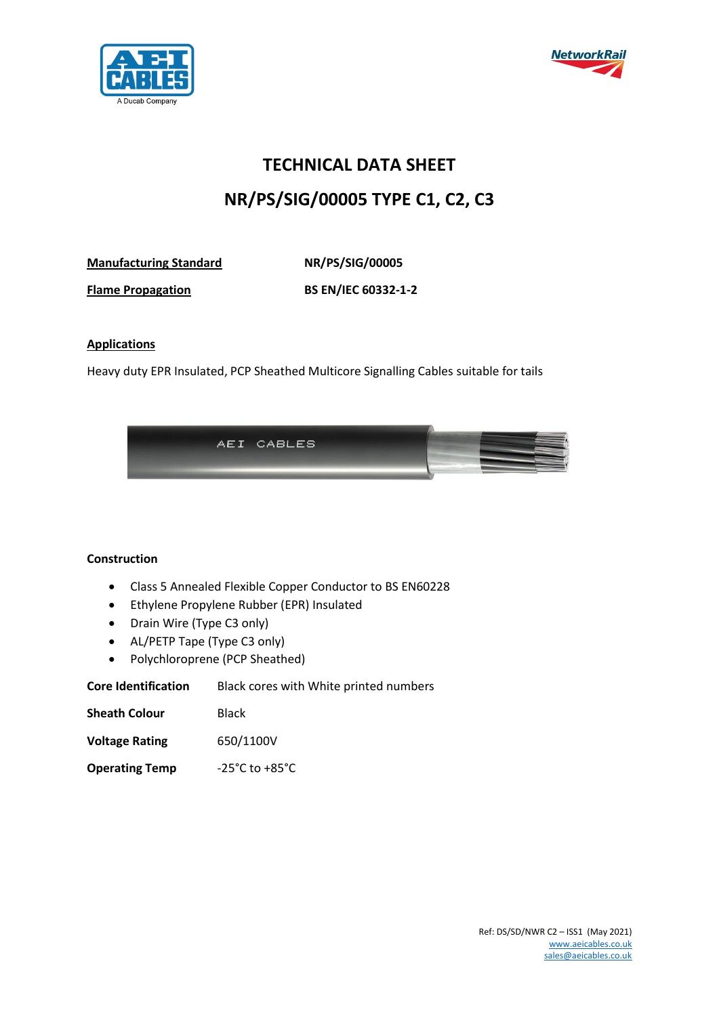



## **TECHNICAL DATA SHEET NR/PS/SIG/00005 TYPE C1, C2, C3**

**Manufacturing Standard NR/PS/SIG/00005**

**Flame Propagation BS EN/IEC 60332-1-2**

## **Applications**

Heavy duty EPR Insulated, PCP Sheathed Multicore Signalling Cables suitable for tails



## **Construction**

- Class 5 Annealed Flexible Copper Conductor to BS EN60228
- Ethylene Propylene Rubber (EPR) Insulated
- Drain Wire (Type C3 only)
- AL/PETP Tape (Type C3 only)
- Polychloroprene (PCP Sheathed)

**Core Identification** Black cores with White printed numbers

| <b>Sheath Colour</b> | <b>Black</b> |
|----------------------|--------------|
|                      |              |

- **Voltage Rating** 650/1100V
- **Operating Temp** -25°C to +85°C